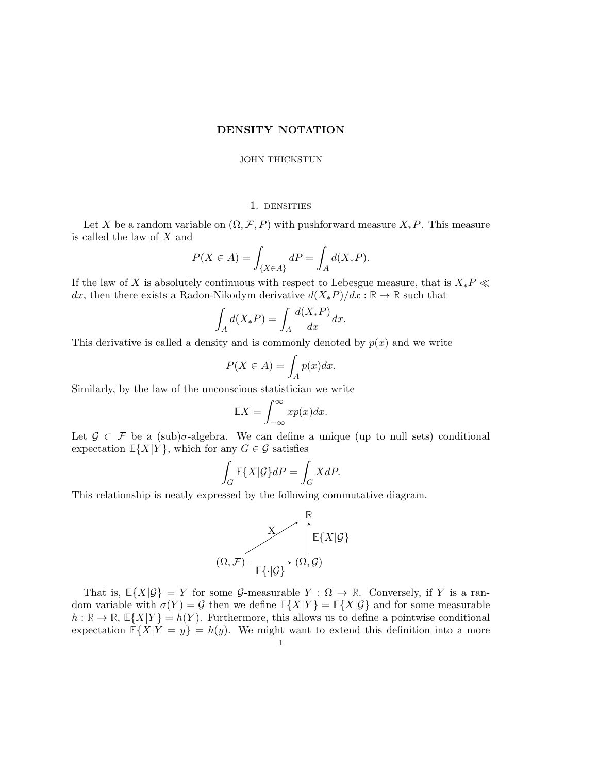## DENSITY NOTATION

### JOHN THICKSTUN

### 1. densities

Let X be a random variable on  $(\Omega, \mathcal{F}, P)$  with pushforward measure  $X_*P$ . This measure is called the law of X and

$$
P(X \in A) = \int_{\{X \in A\}} dP = \int_A d(X_*P).
$$

If the law of X is absolutely continuous with respect to Lebesgue measure, that is  $X_*P \ll$ dx, then there exists a Radon-Nikodym derivative  $d(X_*P)/dx : \mathbb{R} \to \mathbb{R}$  such that

$$
\int_A d(X_*P) = \int_A \frac{d(X_*P)}{dx} dx.
$$

This derivative is called a density and is commonly denoted by  $p(x)$  and we write

$$
P(X \in A) = \int_A p(x) dx.
$$

Similarly, by the law of the unconscious statistician we write

$$
\mathbb{E}X = \int_{-\infty}^{\infty} x p(x) dx.
$$

Let  $\mathcal{G} \subset \mathcal{F}$  be a (sub) $\sigma$ -algebra. We can define a unique (up to null sets) conditional expectation  $\mathbb{E}\{X|Y\}$ , which for any  $G \in \mathcal{G}$  satisfies

$$
\int_G \mathbb{E}\{X|\mathcal{G}\}dP = \int_G XdP.
$$

This relationship is neatly expressed by the following commutative diagram.



That is,  $\mathbb{E}\{X|\mathcal{G}\} = Y$  for some  $\mathcal{G}$ -measurable  $Y : \Omega \to \mathbb{R}$ . Conversely, if Y is a random variable with  $\sigma(Y) = \mathcal{G}$  then we define  $\mathbb{E}\{X|Y\} = \mathbb{E}\{X|\mathcal{G}\}\$  and for some measurable  $h : \mathbb{R} \to \mathbb{R}, \mathbb{E}\{X|Y\} = h(Y)$ . Furthermore, this allows us to define a pointwise conditional expectation  $\mathbb{E}\{X|Y=y\} = h(y)$ . We might want to extend this definition into a more 1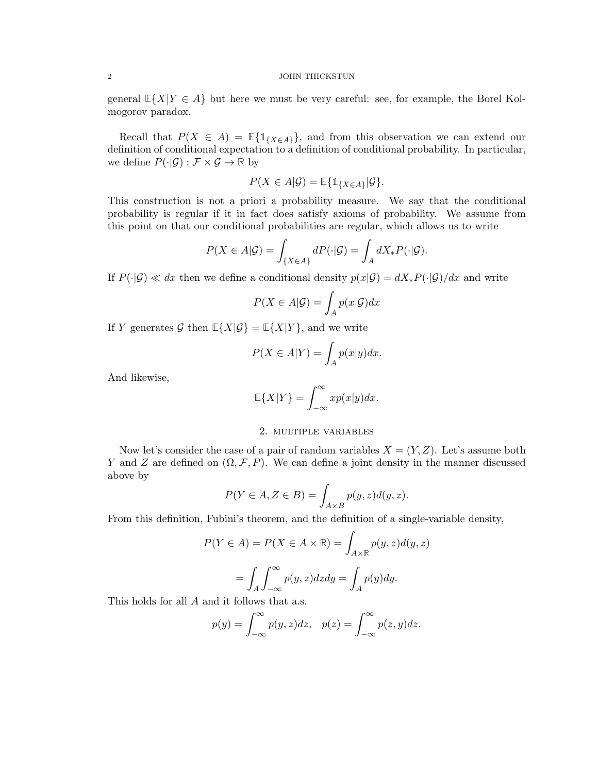#### 2 JOHN THICKSTUN

general  $\mathbb{E}\{X|Y \in A\}$  but here we must be very careful: see, for example, the Borel Kolmogorov paradox.

Recall that  $P(X \in A) = \mathbb{E}\{\mathbb{1}_{\{X \in A\}}\}\$ , and from this observation we can extend our definition of conditional expectation to a definition of conditional probability. In particular, we define  $P(\cdot|\mathcal{G}): \mathcal{F} \times \mathcal{G} \to \mathbb{R}$  by

$$
P(X \in A | \mathcal{G}) = \mathbb{E} \{ \mathbb{1}_{\{X \in A\}} | \mathcal{G} \}.
$$

This construction is not a priori a probability measure. We say that the conditional probability is regular if it in fact does satisfy axioms of probability. We assume from this point on that our conditional probabilities are regular, which allows us to write

$$
P(X \in A | \mathcal{G}) = \int_{\{X \in A\}} dP(\cdot | \mathcal{G}) = \int_A dX_* P(\cdot | \mathcal{G}).
$$

If  $P(\cdot|\mathcal{G}) \ll dx$  then we define a conditional density  $p(x|\mathcal{G}) = dX_*P(\cdot|\mathcal{G})/dx$  and write

$$
P(X \in A | \mathcal{G}) = \int_{A} p(x | \mathcal{G}) dx
$$

If Y generates G then  $\mathbb{E}\{X|\mathcal{G}\} = \mathbb{E}\{X|Y\}$ , and we write

$$
P(X \in A|Y) = \int_A p(x|y)dx.
$$

And likewise,

$$
\mathbb{E}\{X|Y\} = \int_{-\infty}^{\infty} x p(x|y) dx.
$$

# 2. multiple variables

Now let's consider the case of a pair of random variables  $X = (Y, Z)$ . Let's assume both Y and Z are defined on  $(\Omega, \mathcal{F}, P)$ . We can define a joint density in the manner discussed above by

$$
P(Y \in A, Z \in B) = \int_{A \times B} p(y, z) d(y, z).
$$

From this definition, Fubini's theorem, and the definition of a single-variable density,

$$
P(Y \in A) = P(X \in A \times \mathbb{R}) = \int_{A \times \mathbb{R}} p(y, z) d(y, z)
$$

$$
= \int_A \int_{-\infty}^{\infty} p(y, z) dz dy = \int_A p(y) dy.
$$

This holds for all A and it follows that a.s.

$$
p(y) = \int_{-\infty}^{\infty} p(y, z) dz, \quad p(z) = \int_{-\infty}^{\infty} p(z, y) dz.
$$